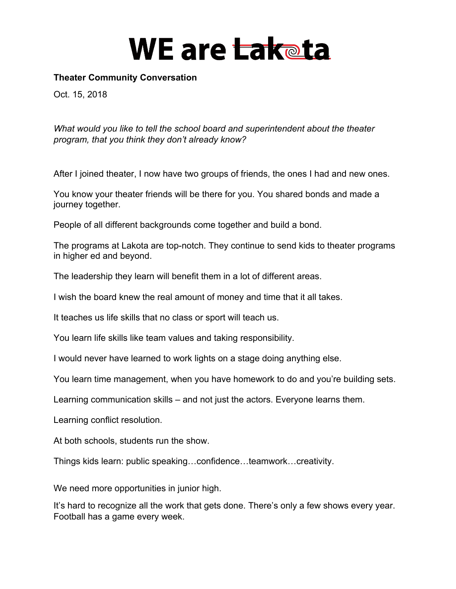#### **Theater Community Conversation**

Oct. 15, 2018

*What would you like to tell the school board and superintendent about the theater program, that you think they don't already know?*

After I joined theater, I now have two groups of friends, the ones I had and new ones.

You know your theater friends will be there for you. You shared bonds and made a journey together.

People of all different backgrounds come together and build a bond.

The programs at Lakota are top-notch. They continue to send kids to theater programs in higher ed and beyond.

The leadership they learn will benefit them in a lot of different areas.

I wish the board knew the real amount of money and time that it all takes.

It teaches us life skills that no class or sport will teach us.

You learn life skills like team values and taking responsibility.

I would never have learned to work lights on a stage doing anything else.

You learn time management, when you have homework to do and you're building sets.

Learning communication skills – and not just the actors. Everyone learns them.

Learning conflict resolution.

At both schools, students run the show.

Things kids learn: public speaking…confidence…teamwork…creativity.

We need more opportunities in junior high.

It's hard to recognize all the work that gets done. There's only a few shows every year. Football has a game every week.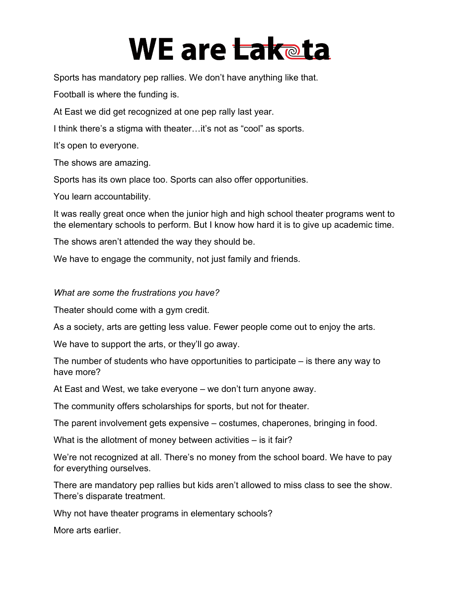Sports has mandatory pep rallies. We don't have anything like that.

Football is where the funding is.

At East we did get recognized at one pep rally last year.

I think there's a stigma with theater…it's not as "cool" as sports.

It's open to everyone.

The shows are amazing.

Sports has its own place too. Sports can also offer opportunities.

You learn accountability.

It was really great once when the junior high and high school theater programs went to the elementary schools to perform. But I know how hard it is to give up academic time.

The shows aren't attended the way they should be.

We have to engage the community, not just family and friends.

#### *What are some the frustrations you have?*

Theater should come with a gym credit.

As a society, arts are getting less value. Fewer people come out to enjoy the arts.

We have to support the arts, or they'll go away.

The number of students who have opportunities to participate – is there any way to have more?

At East and West, we take everyone – we don't turn anyone away.

The community offers scholarships for sports, but not for theater.

The parent involvement gets expensive – costumes, chaperones, bringing in food.

What is the allotment of money between activities – is it fair?

We're not recognized at all. There's no money from the school board. We have to pay for everything ourselves.

There are mandatory pep rallies but kids aren't allowed to miss class to see the show. There's disparate treatment.

Why not have theater programs in elementary schools?

More arts earlier.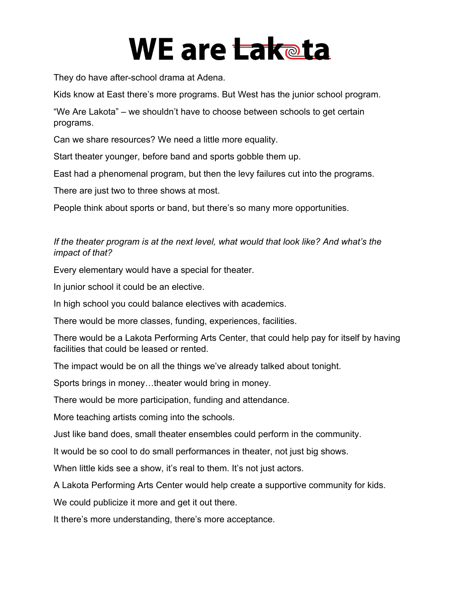They do have after-school drama at Adena.

Kids know at East there's more programs. But West has the junior school program.

"We Are Lakota" – we shouldn't have to choose between schools to get certain programs.

Can we share resources? We need a little more equality.

Start theater younger, before band and sports gobble them up.

East had a phenomenal program, but then the levy failures cut into the programs.

There are just two to three shows at most.

People think about sports or band, but there's so many more opportunities.

### *If the theater program is at the next level, what would that look like? And what's the impact of that?*

Every elementary would have a special for theater.

In junior school it could be an elective.

In high school you could balance electives with academics.

There would be more classes, funding, experiences, facilities.

There would be a Lakota Performing Arts Center, that could help pay for itself by having facilities that could be leased or rented.

The impact would be on all the things we've already talked about tonight.

Sports brings in money…theater would bring in money.

There would be more participation, funding and attendance.

More teaching artists coming into the schools.

Just like band does, small theater ensembles could perform in the community.

It would be so cool to do small performances in theater, not just big shows.

When little kids see a show, it's real to them. It's not just actors.

A Lakota Performing Arts Center would help create a supportive community for kids.

We could publicize it more and get it out there.

It there's more understanding, there's more acceptance.